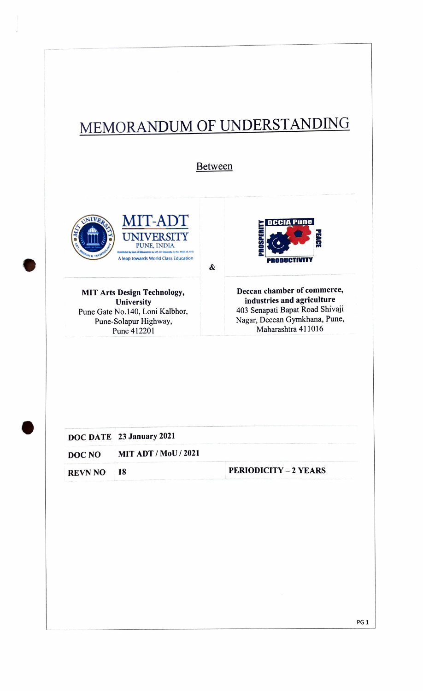## MEMORANDUM OF UNDERSTANDING

Between

&





MIT Arts Design Technology, Deccan chamber of commerce, industries and agriculture 403 Senapati Bapat Road Shivaji Nagar, Deccan Gymkhana, Pune, Maharashtra 411016

**University** Pune Gate No.140, Loni Kalbhor, Pune-Solapur Highway, Pune 412201

|            | DOC DATE 23 January 2021    |                              |
|------------|-----------------------------|------------------------------|
| DOC NO     | <b>MIT ADT / MoU / 2021</b> |                              |
| REVN NO 18 |                             | <b>PERIODICITY - 2 YEARS</b> |